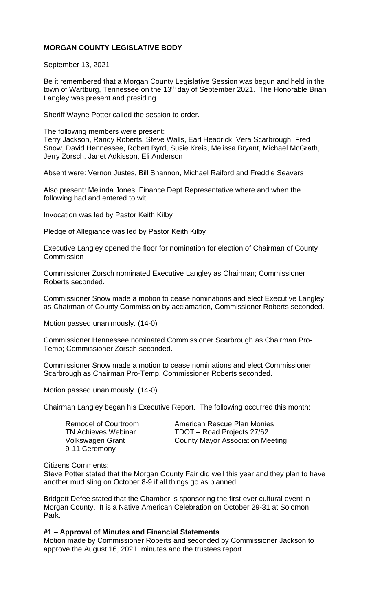# **MORGAN COUNTY LEGISLATIVE BODY**

September 13, 2021

Be it remembered that a Morgan County Legislative Session was begun and held in the town of Wartburg, Tennessee on the 13<sup>th</sup> day of September 2021. The Honorable Brian Langley was present and presiding.

Sheriff Wayne Potter called the session to order.

The following members were present: Terry Jackson, Randy Roberts, Steve Walls, Earl Headrick, Vera Scarbrough, Fred Snow, David Hennessee, Robert Byrd, Susie Kreis, Melissa Bryant, Michael McGrath, Jerry Zorsch, Janet Adkisson, Eli Anderson

Absent were: Vernon Justes, Bill Shannon, Michael Raiford and Freddie Seavers

Also present: Melinda Jones, Finance Dept Representative where and when the following had and entered to wit:

Invocation was led by Pastor Keith Kilby

Pledge of Allegiance was led by Pastor Keith Kilby

Executive Langley opened the floor for nomination for election of Chairman of County **Commission** 

Commissioner Zorsch nominated Executive Langley as Chairman; Commissioner Roberts seconded.

Commissioner Snow made a motion to cease nominations and elect Executive Langley as Chairman of County Commission by acclamation, Commissioner Roberts seconded.

Motion passed unanimously. (14-0)

Commissioner Hennessee nominated Commissioner Scarbrough as Chairman Pro-Temp; Commissioner Zorsch seconded.

Commissioner Snow made a motion to cease nominations and elect Commissioner Scarbrough as Chairman Pro-Temp, Commissioner Roberts seconded.

Motion passed unanimously. (14-0)

Chairman Langley began his Executive Report. The following occurred this month:

9-11 Ceremony

Remodel of Courtroom **American Rescue Plan Monies** TN Achieves Webinar TDOT – Road Projects 27/62 Volkswagen Grant County Mayor Association Meeting

#### Citizens Comments:

Steve Potter stated that the Morgan County Fair did well this year and they plan to have another mud sling on October 8-9 if all things go as planned.

Bridgett Defee stated that the Chamber is sponsoring the first ever cultural event in Morgan County. It is a Native American Celebration on October 29-31 at Solomon Park.

### **#1 – Approval of Minutes and Financial Statements**

Motion made by Commissioner Roberts and seconded by Commissioner Jackson to approve the August 16, 2021, minutes and the trustees report.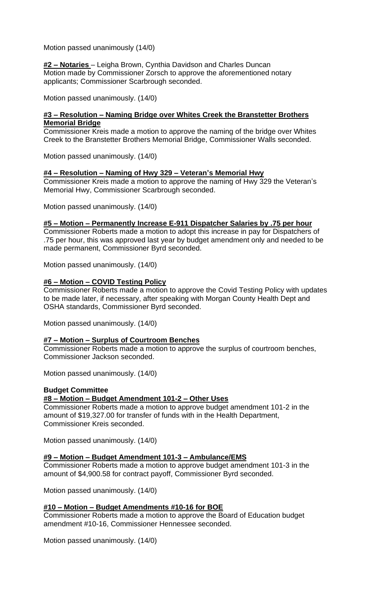Motion passed unanimously (14/0)

**#2 – Notaries** – Leigha Brown, Cynthia Davidson and Charles Duncan Motion made by Commissioner Zorsch to approve the aforementioned notary applicants; Commissioner Scarbrough seconded.

Motion passed unanimously. (14/0)

# **#3 – Resolution – Naming Bridge over Whites Creek the Branstetter Brothers Memorial Bridge**

Commissioner Kreis made a motion to approve the naming of the bridge over Whites Creek to the Branstetter Brothers Memorial Bridge, Commissioner Walls seconded.

Motion passed unanimously. (14/0)

### **#4 – Resolution – Naming of Hwy 329 – Veteran's Memorial Hwy**

Commissioner Kreis made a motion to approve the naming of Hwy 329 the Veteran's Memorial Hwy, Commissioner Scarbrough seconded.

Motion passed unanimously. (14/0)

#### **#5 – Motion – Permanently Increase E-911 Dispatcher Salaries by .75 per hour**

Commissioner Roberts made a motion to adopt this increase in pay for Dispatchers of .75 per hour, this was approved last year by budget amendment only and needed to be made permanent, Commissioner Byrd seconded.

Motion passed unanimously. (14/0)

### **#6 – Motion – COVID Testing Policy**

Commissioner Roberts made a motion to approve the Covid Testing Policy with updates to be made later, if necessary, after speaking with Morgan County Health Dept and OSHA standards, Commissioner Byrd seconded.

Motion passed unanimously. (14/0)

#### **#7 – Motion – Surplus of Courtroom Benches**

Commissioner Roberts made a motion to approve the surplus of courtroom benches, Commissioner Jackson seconded.

Motion passed unanimously. (14/0)

#### **Budget Committee**

#### **#8 – Motion – Budget Amendment 101-2 – Other Uses**

Commissioner Roberts made a motion to approve budget amendment 101-2 in the amount of \$19,327.00 for transfer of funds with in the Health Department, Commissioner Kreis seconded.

Motion passed unanimously. (14/0)

#### **#9 – Motion – Budget Amendment 101-3 – Ambulance/EMS**

Commissioner Roberts made a motion to approve budget amendment 101-3 in the amount of \$4,900.58 for contract payoff, Commissioner Byrd seconded.

Motion passed unanimously. (14/0)

#### **#10 – Motion – Budget Amendments #10-16 for BOE**

Commissioner Roberts made a motion to approve the Board of Education budget amendment #10-16, Commissioner Hennessee seconded.

Motion passed unanimously. (14/0)